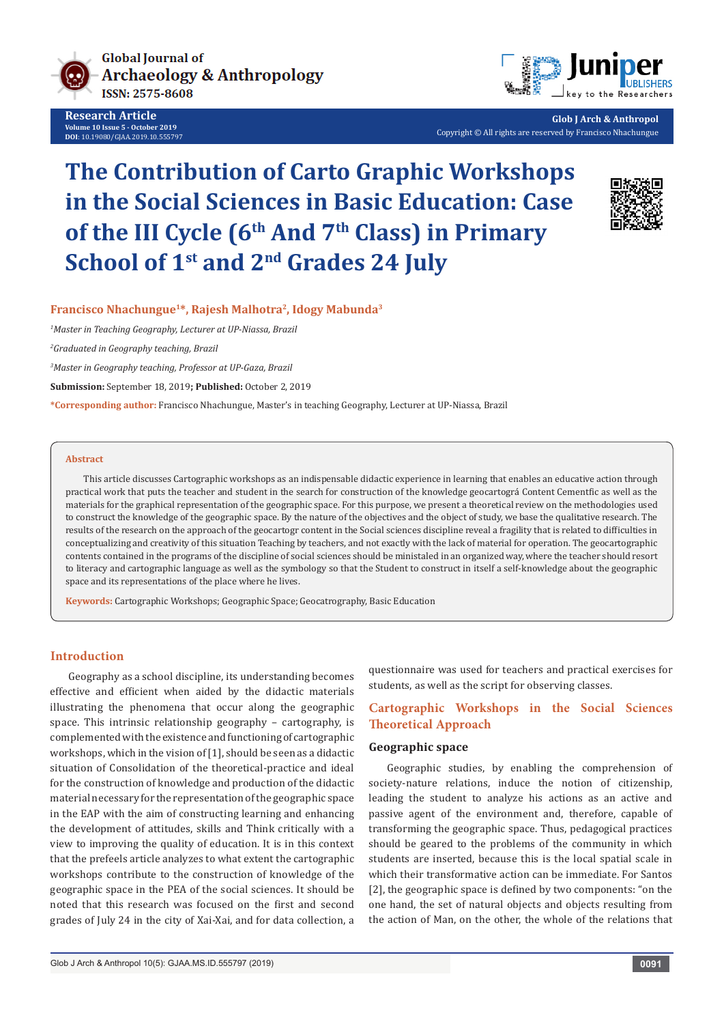

**Research Article Volume 10 Issue 5 - October 2019 DOI**: [10.19080/GJAA.2019.10.555797](http://dx.doi.org/10.19080/GJAA.2019.10.555797)



**Glob J Arch & Anthropol** Copyright © All rights are reserved by Francisco Nhachungue

# **The Contribution of Carto Graphic Workshops in the Social Sciences in Basic Education: Case**  of the III Cycle (6<sup>th</sup> And 7<sup>th</sup> Class) in Primary **School of 1st and 2nd Grades 24 July**



## **Francisco Nhachungue1\*, Rajesh Malhotra2, Idogy Mabunda3**

*1 Master in Teaching Geography, Lecturer at UP-Niassa, Brazil*

*2 Graduated in Geography teaching, Brazil*

*3 Master in Geography teaching, Professor at UP-Gaza, Brazil*

**Submission:** September 18, 2019**; Published:** October 2, 2019

**\*Corresponding author:** Francisco Nhachungue, Master's in teaching Geography, Lecturer at UP-Niassa, Brazil

#### **Abstract**

This article discusses Cartographic workshops as an indispensable didactic experience in learning that enables an educative action through practical work that puts the teacher and student in the search for construction of the knowledge geocartográ Content Cementfic as well as the materials for the graphical representation of the geographic space. For this purpose, we present a theoretical review on the methodologies used to construct the knowledge of the geographic space. By the nature of the objectives and the object of study, we base the qualitative research. The results of the research on the approach of the geocartogr content in the Social sciences discipline reveal a fragility that is related to difficulties in conceptualizing and creativity of this situation Teaching by teachers, and not exactly with the lack of material for operation. The geocartographic contents contained in the programs of the discipline of social sciences should be ministaled in an organized way, where the teacher should resort to literacy and cartographic language as well as the symbology so that the Student to construct in itself a self-knowledge about the geographic space and its representations of the place where he lives.

**Keywords:** Cartographic Workshops; Geographic Space; Geocatrography, Basic Education

## **Introduction**

Geography as a school discipline, its understanding becomes effective and efficient when aided by the didactic materials illustrating the phenomena that occur along the geographic space. This intrinsic relationship geography – cartography, is complemented with the existence and functioning of cartographic workshops, which in the vision of [1], should be seen as a didactic situation of Consolidation of the theoretical-practice and ideal for the construction of knowledge and production of the didactic material necessary for the representation of the geographic space in the EAP with the aim of constructing learning and enhancing the development of attitudes, skills and Think critically with a view to improving the quality of education. It is in this context that the prefeels article analyzes to what extent the cartographic workshops contribute to the construction of knowledge of the geographic space in the PEA of the social sciences. It should be noted that this research was focused on the first and second grades of July 24 in the city of Xai-Xai, and for data collection, a

questionnaire was used for teachers and practical exercises for students, as well as the script for observing classes.

# **Cartographic Workshops in the Social Sciences Theoretical Approach**

## **Geographic space**

Geographic studies, by enabling the comprehension of society-nature relations, induce the notion of citizenship, leading the student to analyze his actions as an active and passive agent of the environment and, therefore, capable of transforming the geographic space. Thus, pedagogical practices should be geared to the problems of the community in which students are inserted, because this is the local spatial scale in which their transformative action can be immediate. For Santos [2], the geographic space is defined by two components: "on the one hand, the set of natural objects and objects resulting from the action of Man, on the other, the whole of the relations that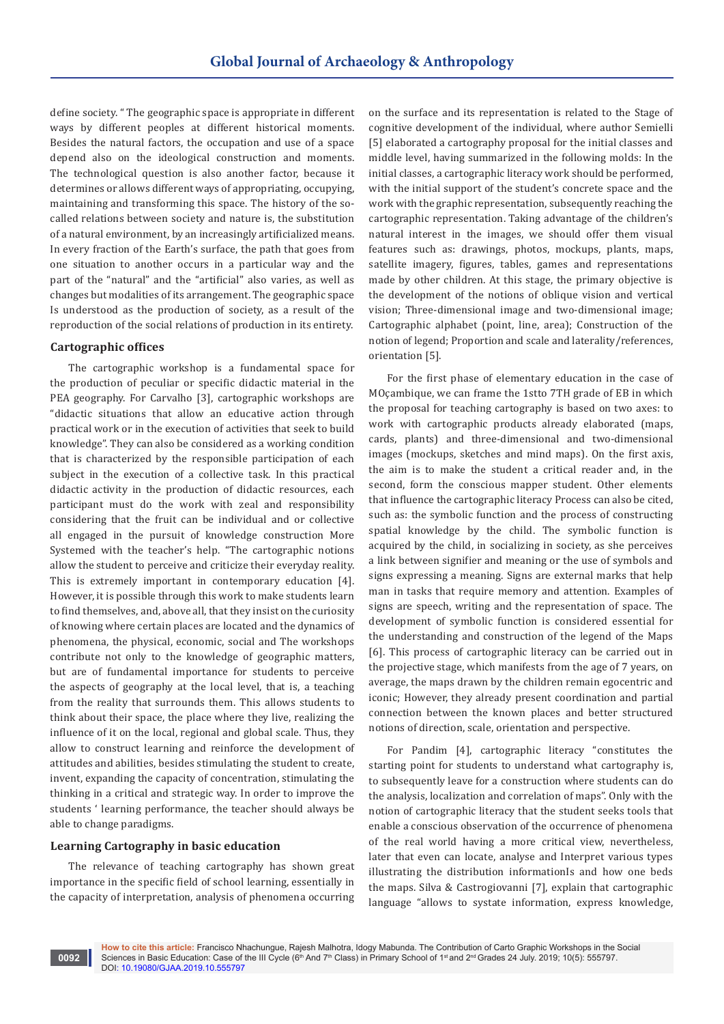define society. " The geographic space is appropriate in different ways by different peoples at different historical moments. Besides the natural factors, the occupation and use of a space depend also on the ideological construction and moments. The technological question is also another factor, because it determines or allows different ways of appropriating, occupying, maintaining and transforming this space. The history of the socalled relations between society and nature is, the substitution of a natural environment, by an increasingly artificialized means. In every fraction of the Earth's surface, the path that goes from one situation to another occurs in a particular way and the part of the "natural" and the "artificial" also varies, as well as changes but modalities of its arrangement. The geographic space Is understood as the production of society, as a result of the reproduction of the social relations of production in its entirety.

## **Cartographic offices**

The cartographic workshop is a fundamental space for the production of peculiar or specific didactic material in the PEA geography. For Carvalho [3], cartographic workshops are "didactic situations that allow an educative action through practical work or in the execution of activities that seek to build knowledge". They can also be considered as a working condition that is characterized by the responsible participation of each subject in the execution of a collective task. In this practical didactic activity in the production of didactic resources, each participant must do the work with zeal and responsibility considering that the fruit can be individual and or collective all engaged in the pursuit of knowledge construction More Systemed with the teacher's help. "The cartographic notions allow the student to perceive and criticize their everyday reality. This is extremely important in contemporary education [4]. However, it is possible through this work to make students learn to find themselves, and, above all, that they insist on the curiosity of knowing where certain places are located and the dynamics of phenomena, the physical, economic, social and The workshops contribute not only to the knowledge of geographic matters, but are of fundamental importance for students to perceive the aspects of geography at the local level, that is, a teaching from the reality that surrounds them. This allows students to think about their space, the place where they live, realizing the influence of it on the local, regional and global scale. Thus, they allow to construct learning and reinforce the development of attitudes and abilities, besides stimulating the student to create, invent, expanding the capacity of concentration, stimulating the thinking in a critical and strategic way. In order to improve the students ' learning performance, the teacher should always be able to change paradigms.

## **Learning Cartography in basic education**

The relevance of teaching cartography has shown great importance in the specific field of school learning, essentially in the capacity of interpretation, analysis of phenomena occurring on the surface and its representation is related to the Stage of cognitive development of the individual, where author Semielli [5] elaborated a cartography proposal for the initial classes and middle level, having summarized in the following molds: In the initial classes, a cartographic literacy work should be performed, with the initial support of the student's concrete space and the work with the graphic representation, subsequently reaching the cartographic representation. Taking advantage of the children's natural interest in the images, we should offer them visual features such as: drawings, photos, mockups, plants, maps, satellite imagery, figures, tables, games and representations made by other children. At this stage, the primary objective is the development of the notions of oblique vision and vertical vision; Three-dimensional image and two-dimensional image; Cartographic alphabet (point, line, area); Construction of the notion of legend; Proportion and scale and laterality/references, orientation [5].

For the first phase of elementary education in the case of MOçambique, we can frame the 1stto 7TH grade of EB in which the proposal for teaching cartography is based on two axes: to work with cartographic products already elaborated (maps, cards, plants) and three-dimensional and two-dimensional images (mockups, sketches and mind maps). On the first axis, the aim is to make the student a critical reader and, in the second, form the conscious mapper student. Other elements that influence the cartographic literacy Process can also be cited, such as: the symbolic function and the process of constructing spatial knowledge by the child. The symbolic function is acquired by the child, in socializing in society, as she perceives a link between signifier and meaning or the use of symbols and signs expressing a meaning. Signs are external marks that help man in tasks that require memory and attention. Examples of signs are speech, writing and the representation of space. The development of symbolic function is considered essential for the understanding and construction of the legend of the Maps [6]. This process of cartographic literacy can be carried out in the projective stage, which manifests from the age of 7 years, on average, the maps drawn by the children remain egocentric and iconic; However, they already present coordination and partial connection between the known places and better structured notions of direction, scale, orientation and perspective.

For Pandim [4], cartographic literacy "constitutes the starting point for students to understand what cartography is, to subsequently leave for a construction where students can do the analysis, localization and correlation of maps". Only with the notion of cartographic literacy that the student seeks tools that enable a conscious observation of the occurrence of phenomena of the real world having a more critical view, nevertheless, later that even can locate, analyse and Interpret various types illustrating the distribution informationIs and how one beds the maps. Silva & Castrogiovanni [7], explain that cartographic language "allows to systate information, express knowledge,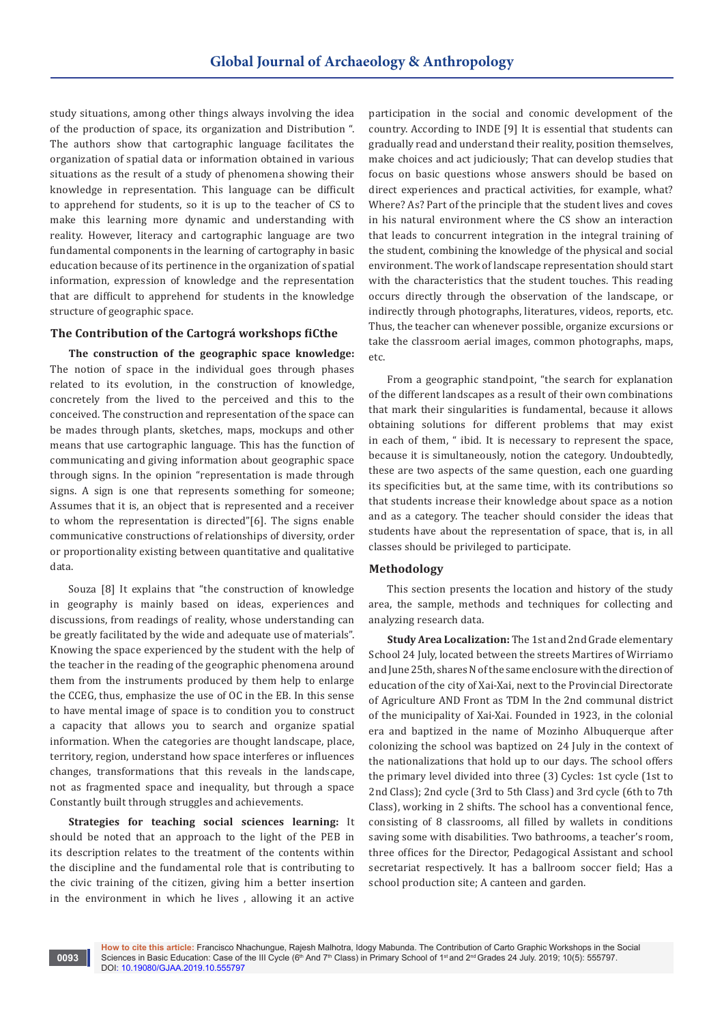study situations, among other things always involving the idea of the production of space, its organization and Distribution ". The authors show that cartographic language facilitates the organization of spatial data or information obtained in various situations as the result of a study of phenomena showing their knowledge in representation. This language can be difficult to apprehend for students, so it is up to the teacher of CS to make this learning more dynamic and understanding with reality. However, literacy and cartographic language are two fundamental components in the learning of cartography in basic education because of its pertinence in the organization of spatial information, expression of knowledge and the representation that are difficult to apprehend for students in the knowledge structure of geographic space.

#### **The Contribution of the Cartográ workshops fiCthe**

**The construction of the geographic space knowledge:** The notion of space in the individual goes through phases related to its evolution, in the construction of knowledge, concretely from the lived to the perceived and this to the conceived. The construction and representation of the space can be mades through plants, sketches, maps, mockups and other means that use cartographic language. This has the function of communicating and giving information about geographic space through signs. In the opinion "representation is made through signs. A sign is one that represents something for someone; Assumes that it is, an object that is represented and a receiver to whom the representation is directed"[6]. The signs enable communicative constructions of relationships of diversity, order or proportionality existing between quantitative and qualitative data.

Souza [8] It explains that "the construction of knowledge in geography is mainly based on ideas, experiences and discussions, from readings of reality, whose understanding can be greatly facilitated by the wide and adequate use of materials". Knowing the space experienced by the student with the help of the teacher in the reading of the geographic phenomena around them from the instruments produced by them help to enlarge the CCEG, thus, emphasize the use of OC in the EB. In this sense to have mental image of space is to condition you to construct a capacity that allows you to search and organize spatial information. When the categories are thought landscape, place, territory, region, understand how space interferes or influences changes, transformations that this reveals in the landscape, not as fragmented space and inequality, but through a space Constantly built through struggles and achievements.

**Strategies for teaching social sciences learning:** It should be noted that an approach to the light of the PEB in its description relates to the treatment of the contents within the discipline and the fundamental role that is contributing to the civic training of the citizen, giving him a better insertion in the environment in which he lives , allowing it an active

**0093**

participation in the social and conomic development of the country. According to INDE [9] It is essential that students can gradually read and understand their reality, position themselves, make choices and act judiciously; That can develop studies that focus on basic questions whose answers should be based on direct experiences and practical activities, for example, what? Where? As? Part of the principle that the student lives and coves in his natural environment where the CS show an interaction that leads to concurrent integration in the integral training of the student, combining the knowledge of the physical and social environment. The work of landscape representation should start with the characteristics that the student touches. This reading occurs directly through the observation of the landscape, or indirectly through photographs, literatures, videos, reports, etc. Thus, the teacher can whenever possible, organize excursions or take the classroom aerial images, common photographs, maps, etc.

From a geographic standpoint, "the search for explanation of the different landscapes as a result of their own combinations that mark their singularities is fundamental, because it allows obtaining solutions for different problems that may exist in each of them, " ibid. It is necessary to represent the space, because it is simultaneously, notion the category. Undoubtedly, these are two aspects of the same question, each one guarding its specificities but, at the same time, with its contributions so that students increase their knowledge about space as a notion and as a category. The teacher should consider the ideas that students have about the representation of space, that is, in all classes should be privileged to participate.

#### **Methodology**

This section presents the location and history of the study area, the sample, methods and techniques for collecting and analyzing research data.

**Study Area Localization:** The 1st and 2nd Grade elementary School 24 July, located between the streets Martires of Wirriamo and June 25th, shares N of the same enclosure with the direction of education of the city of Xai-Xai, next to the Provincial Directorate of Agriculture AND Front as TDM In the 2nd communal district of the municipality of Xai-Xai. Founded in 1923, in the colonial era and baptized in the name of Mozinho Albuquerque after colonizing the school was baptized on 24 July in the context of the nationalizations that hold up to our days. The school offers the primary level divided into three (3) Cycles: 1st cycle (1st to 2nd Class); 2nd cycle (3rd to 5th Class) and 3rd cycle (6th to 7th Class), working in 2 shifts. The school has a conventional fence, consisting of 8 classrooms, all filled by wallets in conditions saving some with disabilities. Two bathrooms, a teacher's room, three offices for the Director, Pedagogical Assistant and school secretariat respectively. It has a ballroom soccer field; Has a school production site; A canteen and garden.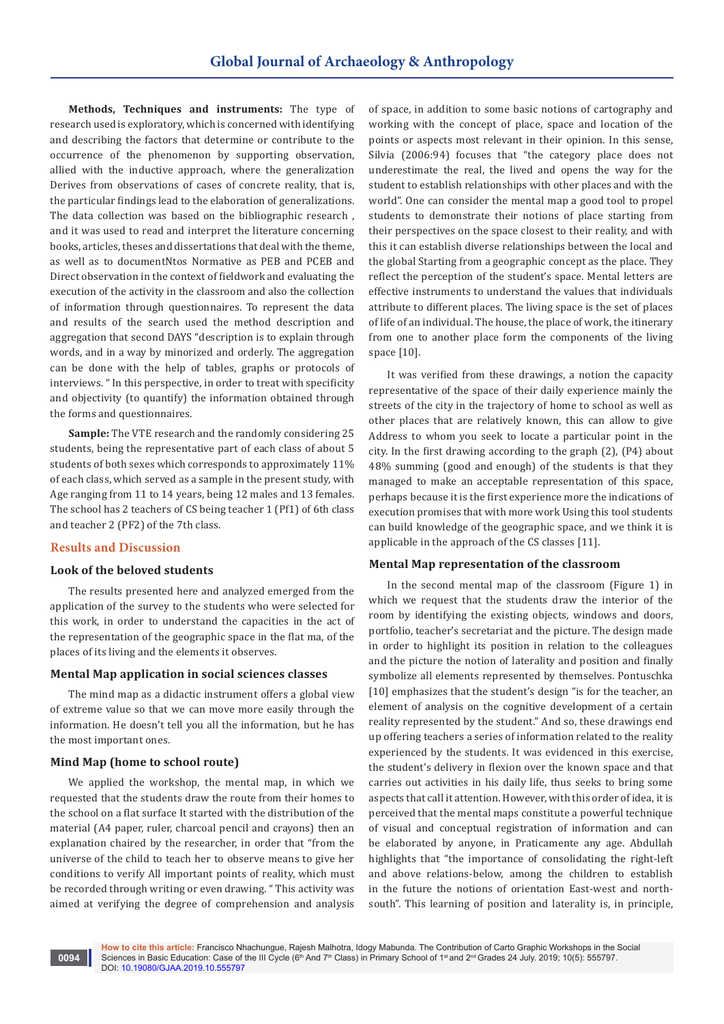**Methods, Techniques and instruments:** The type of research used is exploratory, which is concerned with identifying and describing the factors that determine or contribute to the occurrence of the phenomenon by supporting observation, allied with the inductive approach, where the generalization Derives from observations of cases of concrete reality, that is, the particular findings lead to the elaboration of generalizations. The data collection was based on the bibliographic research , and it was used to read and interpret the literature concerning books, articles, theses and dissertations that deal with the theme, as well as to documentNtos Normative as PEB and PCEB and Direct observation in the context of fieldwork and evaluating the execution of the activity in the classroom and also the collection of information through questionnaires. To represent the data and results of the search used the method description and aggregation that second DAYS "description is to explain through words, and in a way by minorized and orderly. The aggregation can be done with the help of tables, graphs or protocols of interviews. " In this perspective, in order to treat with specificity and objectivity (to quantify) the information obtained through the forms and questionnaires.

**Sample:** The VTE research and the randomly considering 25 students, being the representative part of each class of about 5 students of both sexes which corresponds to approximately 11% of each class, which served as a sample in the present study, with Age ranging from 11 to 14 years, being 12 males and 13 females. The school has 2 teachers of CS being teacher 1 (Pf1) of 6th class and teacher 2 (PF2) of the 7th class.

# **Results and Discussion**

## **Look of the beloved students**

The results presented here and analyzed emerged from the application of the survey to the students who were selected for this work, in order to understand the capacities in the act of the representation of the geographic space in the flat ma, of the places of its living and the elements it observes.

#### **Mental Map application in social sciences classes**

The mind map as a didactic instrument offers a global view of extreme value so that we can move more easily through the information. He doesn't tell you all the information, but he has the most important ones.

## **Mind Map (home to school route)**

We applied the workshop, the mental map, in which we requested that the students draw the route from their homes to the school on a flat surface It started with the distribution of the material (A4 paper, ruler, charcoal pencil and crayons) then an explanation chaired by the researcher, in order that "from the universe of the child to teach her to observe means to give her conditions to verify All important points of reality, which must be recorded through writing or even drawing. " This activity was aimed at verifying the degree of comprehension and analysis

of space, in addition to some basic notions of cartography and working with the concept of place, space and location of the points or aspects most relevant in their opinion. In this sense, Silvia (2006:94) focuses that "the category place does not underestimate the real, the lived and opens the way for the student to establish relationships with other places and with the world". One can consider the mental map a good tool to propel students to demonstrate their notions of place starting from their perspectives on the space closest to their reality, and with this it can establish diverse relationships between the local and the global Starting from a geographic concept as the place. They reflect the perception of the student's space. Mental letters are effective instruments to understand the values that individuals attribute to different places. The living space is the set of places of life of an individual. The house, the place of work, the itinerary from one to another place form the components of the living space [10].

It was verified from these drawings, a notion the capacity representative of the space of their daily experience mainly the streets of the city in the trajectory of home to school as well as other places that are relatively known, this can allow to give Address to whom you seek to locate a particular point in the city. In the first drawing according to the graph (2), (P4) about 48% summing (good and enough) of the students is that they managed to make an acceptable representation of this space, perhaps because it is the first experience more the indications of execution promises that with more work Using this tool students can build knowledge of the geographic space, and we think it is applicable in the approach of the CS classes [11].

## **Mental Map representation of the classroom**

In the second mental map of the classroom (Figure 1) in which we request that the students draw the interior of the room by identifying the existing objects, windows and doors, portfolio, teacher's secretariat and the picture. The design made in order to highlight its position in relation to the colleagues and the picture the notion of laterality and position and finally symbolize all elements represented by themselves. Pontuschka [10] emphasizes that the student's design "is for the teacher, an element of analysis on the cognitive development of a certain reality represented by the student." And so, these drawings end up offering teachers a series of information related to the reality experienced by the students. It was evidenced in this exercise, the student's delivery in flexion over the known space and that carries out activities in his daily life, thus seeks to bring some aspects that call it attention. However, with this order of idea, it is perceived that the mental maps constitute a powerful technique of visual and conceptual registration of information and can be elaborated by anyone, in Praticamente any age. Abdullah highlights that "the importance of consolidating the right-left and above relations-below, among the children to establish in the future the notions of orientation East-west and northsouth". This learning of position and laterality is, in principle,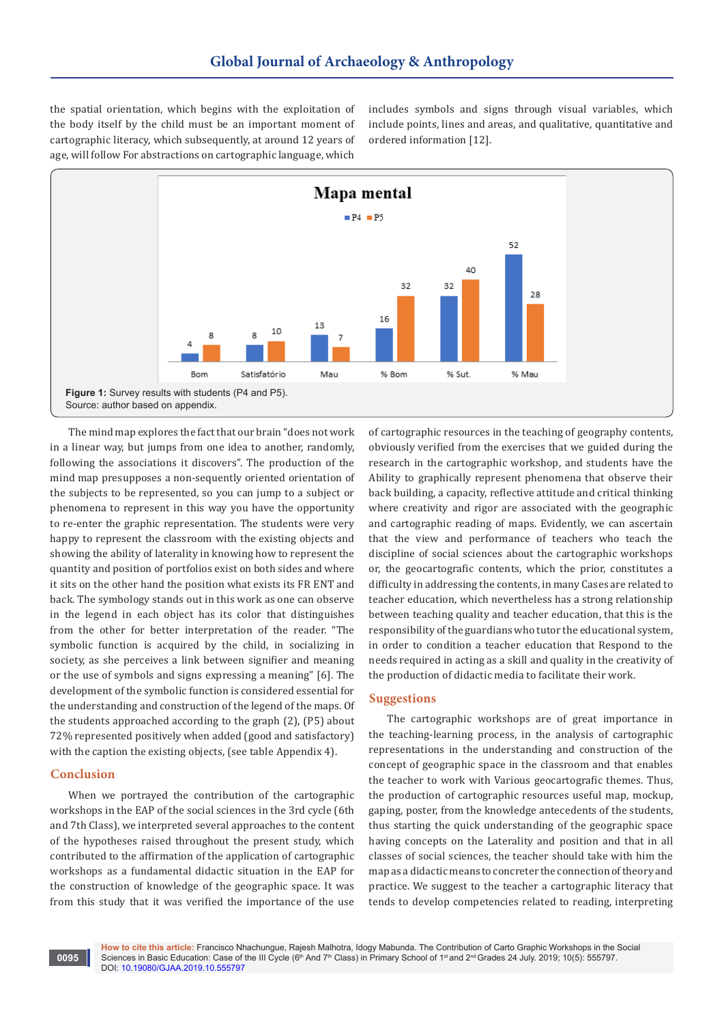the spatial orientation, which begins with the exploitation of the body itself by the child must be an important moment of cartographic literacy, which subsequently, at around 12 years of age, will follow For abstractions on cartographic language, which

includes symbols and signs through visual variables, which include points, lines and areas, and qualitative, quantitative and ordered information [12].



The mind map explores the fact that our brain "does not work in a linear way, but jumps from one idea to another, randomly, following the associations it discovers". The production of the mind map presupposes a non-sequently oriented orientation of the subjects to be represented, so you can jump to a subject or phenomena to represent in this way you have the opportunity to re-enter the graphic representation. The students were very happy to represent the classroom with the existing objects and showing the ability of laterality in knowing how to represent the quantity and position of portfolios exist on both sides and where it sits on the other hand the position what exists its FR ENT and back. The symbology stands out in this work as one can observe in the legend in each object has its color that distinguishes from the other for better interpretation of the reader. "The symbolic function is acquired by the child, in socializing in society, as she perceives a link between signifier and meaning or the use of symbols and signs expressing a meaning" [6]. The development of the symbolic function is considered essential for the understanding and construction of the legend of the maps. Of the students approached according to the graph (2), (P5) about 72% represented positively when added (good and satisfactory) with the caption the existing objects, (see table Appendix 4).

## **Conclusion**

When we portrayed the contribution of the cartographic workshops in the EAP of the social sciences in the 3rd cycle (6th and 7th Class), we interpreted several approaches to the content of the hypotheses raised throughout the present study, which contributed to the affirmation of the application of cartographic workshops as a fundamental didactic situation in the EAP for the construction of knowledge of the geographic space. It was from this study that it was verified the importance of the use

of cartographic resources in the teaching of geography contents, obviously verified from the exercises that we guided during the research in the cartographic workshop, and students have the Ability to graphically represent phenomena that observe their back building, a capacity, reflective attitude and critical thinking where creativity and rigor are associated with the geographic and cartographic reading of maps. Evidently, we can ascertain that the view and performance of teachers who teach the discipline of social sciences about the cartographic workshops or, the geocartografic contents, which the prior, constitutes a difficulty in addressing the contents, in many Cases are related to teacher education, which nevertheless has a strong relationship between teaching quality and teacher education, that this is the responsibility of the guardians who tutor the educational system, in order to condition a teacher education that Respond to the needs required in acting as a skill and quality in the creativity of the production of didactic media to facilitate their work.

# **Suggestions**

The cartographic workshops are of great importance in the teaching-learning process, in the analysis of cartographic representations in the understanding and construction of the concept of geographic space in the classroom and that enables the teacher to work with Various geocartografic themes. Thus, the production of cartographic resources useful map, mockup, gaping, poster, from the knowledge antecedents of the students, thus starting the quick understanding of the geographic space having concepts on the Laterality and position and that in all classes of social sciences, the teacher should take with him the map as a didactic means to concreter the connection of theory and practice. We suggest to the teacher a cartographic literacy that tends to develop competencies related to reading, interpreting

**How to cite this article:** Francisco Nhachungue, Rajesh Malhotra, Idogy Mabunda. The Contribution of Carto Graphic Workshops in the Social Sciences in Basic Education: Case of the III Cycle (6<sup>th</sup> And 7<sup>th</sup> Class) in Primary School of 1<sup>st</sup> and 2<sup>nd</sup> Grades 24 July. 2019; 10(5): 555797. DOI: [10.19080/GJAA.2019.10.555797](http://dx.doi.org/10.19080/GJAA.2019.10.555797)